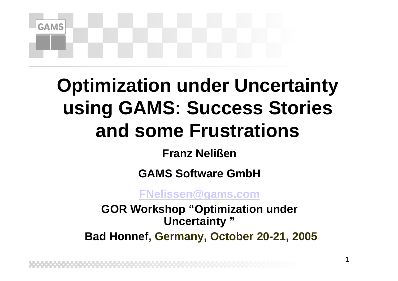**GAMS** 

### **Optimization under Uncertainty using GAMS: Success Stories and some Frustrations**

#### **Franz Nelißen**

#### **GAMS Software GmbH**

#### **[FNelissen@gams.com](mailto:FNelissen@gams.com)**

**GOR Workshop "Optimization under Uncertainty "Bad Honnef, Germany, October 20-21, 2005**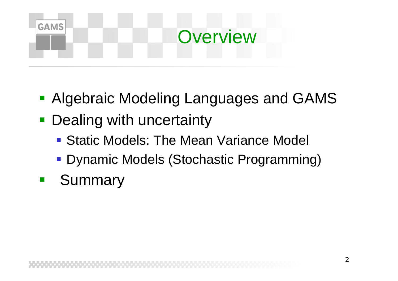### **GAMS Overview**

- Algebraic Modeling Languages and GAMS
- **Dealing with uncertainty** 
	- Static Models: The Mean Variance Model
	- Dynamic Models (Stochastic Programming)
- Summary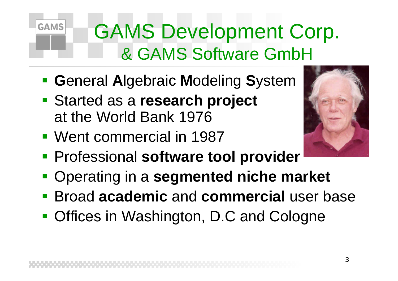### GAMS Development Corp. & GAMS Software GmbH

- **Example 1 B** General Algebraic Modeling System
- Started as a **research project** at the World Bank 1976
- Went commercial in 1987

- 
- **Professional software tool provider**
- Operating in a **segmented niche market**
- Broad **academic** and **commercial** user base
- **Offices in Washington, D.C and Cologne**

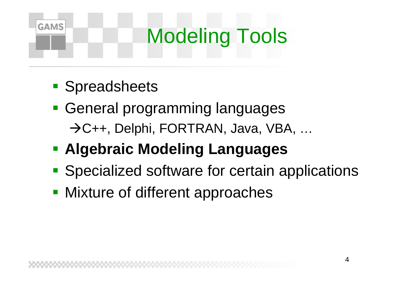## Modeling Tools

**Spreadsheets** 

- **General programming languages** →C++, Delphi, FORTRAN, Java, VBA, ...
- **Algebraic Modeling Languages**
- **Specialized software for certain applications**
- **Mixture of different approaches**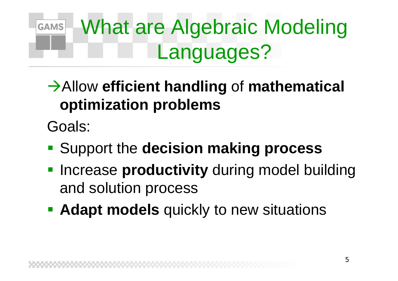#### What are Algebraic Modeling **GAMS** Languages?

#### **→ Allow efficient handling of mathematical optimization problems**

Goals:

- **Support the decision making process**
- **Increase productivity** during model building and solution process
- **Adapt models** quickly to new situations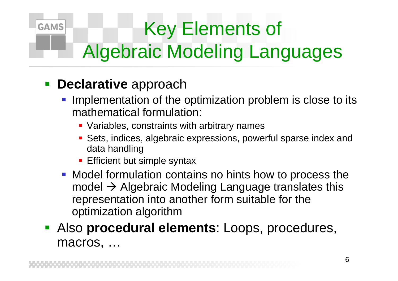### Key Elements of Algebraic Modeling Languages

#### **Declarative** approach

- **Implementation of the optimization problem is close to its** mathematical formulation:
	- Variables, constraints with arbitrary names
	- Sets, indices, algebraic expressions, powerful sparse index and data handling
	- **Efficient but simple syntax**
- **Model formulation contains no hints how to process the** model  $\rightarrow$  Algebraic Modeling Language translates this representation into another form suitable for the optimization algorithm
- Also **procedural elements**: Loops, procedures, macros, …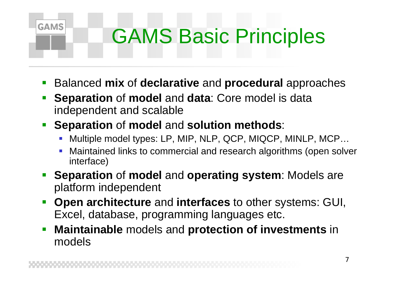## GAMS Basic Principles

- $\mathbb{R}^3$ Balanced **mix** of **declarative** and **procedural** approaches
- $\mathbb{R}^3$  **Separation** of **model** and **data**: Core model is data independent and scalable
- **Separation** of **model** and **solution methods**:

- k. Multiple model types: LP, MIP, NLP, QCP, MIQCP, MINLP, MCP…
- F Maintained links to commercial and research algorithms (open solver interface)
- **Separation** of **model** and **operating system**: Models are platform independent
- $\mathbb{R}^2$  **Open architecture** and **interfaces** to other systems: GUI, Excel, database, programming languages etc.
- $\mathbb{R}^3$  **Maintainable** models and **protection of investments** in models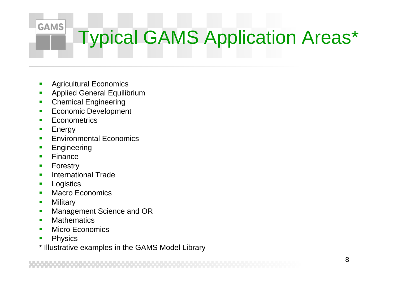#### **GAMS** Typical GAMS Application Areas\*

- Agricultural Economics
- П Applied General Equilibrium
- Chemical Engineering
- п Economic Development
- П **Econometrics**
- Energy
- Environmental Economics
- П Engineering
- Finance
- Forestry
- П International Trade
- **Logistics**
- Macro Economics
- П **Military**
- п Management Science and OR
- **Mathematics**
- П Micro Economics
- Physics
- \* Illustrative examples in the GAMS Model Librar y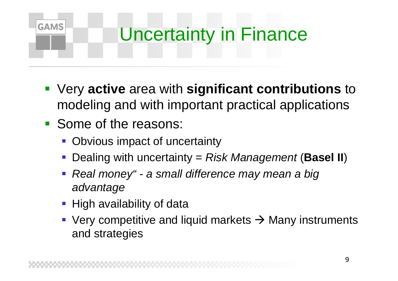

- Very **active** area with **significant contributions** to modeling and with important practical applications
- Some of the reasons:
	- Obvious impact of uncertainty
	- Dealing with uncertainty = *Risk Management* (**Basel II** )
	- *Real money" - a small difference may mean a big advantage*
	- **High availability of data**
	- Very competitive and liquid markets  $\rightarrow$  Many instruments and strategies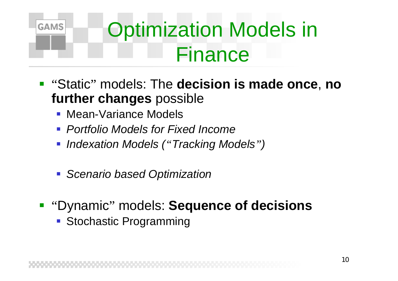

## Optimization Models in Finance

- "Static " models: The **decision is made once**, **no further changes** possible
	- **Mean-Variance Models**
	- *Portfolio Models for Fixed Income*
	- *Indexation Models ( "Tracking Models ")*
	- *Scenario based Optimization*
- **"Dynamic" models: Sequence of decisions** 
	- **Stochastic Programming**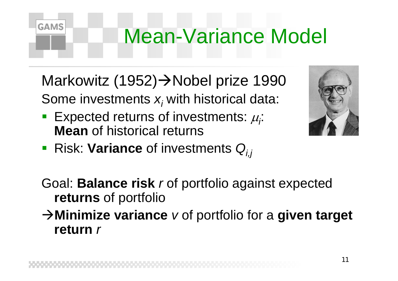## Mean-Variance Model

Markowitz (1952)→Nobel prize 1990 Some investments  $\boldsymbol{\mathsf{x}}_i$  with historical data:

- Expected returns of investments:  $\mu$ ; **Mean** of historical returns
- Risk: Variance of investments Q<sub>i,j</sub>



- Goal: **Balance risk** *r* of portfolio against expected **returns** of portfolio
- $\rightarrow$ Minimize variance v of portfolio for a given target **return***r*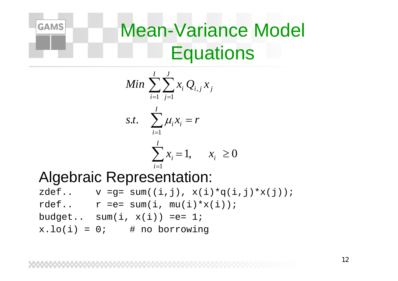

### Mean-Variance Model **Equations**

$$
Min \sum_{i=1}^{I} \sum_{j=1}^{J} x_i Q_{i,j} x_j
$$
  
s.t. 
$$
\sum_{i=1}^{I} \mu_i x_i = r
$$

$$
\sum_{i=1}^{I} x_i = 1, \quad x_i \ge 0
$$

#### Algebraic Representation:

- $zdef..$  v =g= sum((i,j),  $x(i)*q(i,j)*x(j)$ );
- rdef..  $r == sum(i, mu(i)*x(i));$
- budget.. sum $(i, x(i)) == 1;$
- $x.lo(i) = 0;$  # no borrowing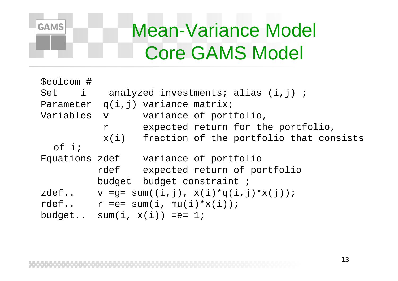

#### Mean-Variance Model Core GAMS Model

| \$eolcom # |                                                    |                                                |  |  |  |
|------------|----------------------------------------------------|------------------------------------------------|--|--|--|
| Set i      | analyzed investments; alias (i,j);                 |                                                |  |  |  |
|            |                                                    | Parameter $q(i,j)$ variance matrix;            |  |  |  |
| Variables  | $\overline{\mathbf{V}}$                            | variance of portfolio,                         |  |  |  |
|            | $\mathbf r$                                        | expected return for the portfolio,             |  |  |  |
|            |                                                    | $x(i)$ fraction of the portfolio that consists |  |  |  |
| $of$ i;    |                                                    |                                                |  |  |  |
|            |                                                    | Equations zdef variance of portfolio           |  |  |  |
|            | rdef                                               | expected return of portfolio                   |  |  |  |
|            |                                                    | budget budget constraint;                      |  |  |  |
|            | zdef $v = g = sum((i, j), x(i) * q(i, j) * x(j));$ |                                                |  |  |  |
|            | rdef $r == sum(i, mu(i) * x(i));$                  |                                                |  |  |  |
| budget     |                                                    | $sum(i, x(i)) == 1;$                           |  |  |  |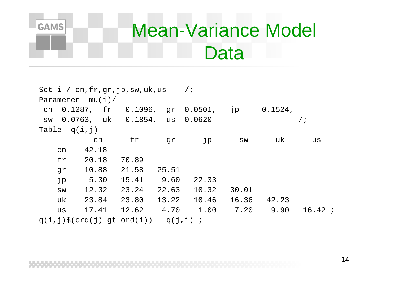

#### Mean-Variance Model **Data**

| Set $i / cn, fr, gr, jp, sw, uk, us$ |    |                    |                                            |       |            |       |            |            |
|--------------------------------------|----|--------------------|--------------------------------------------|-------|------------|-------|------------|------------|
|                                      |    | Parameter $mu(i)/$ |                                            |       |            |       |            |            |
| cn                                   |    | $0.1287$ , fr      | $0.1096$ ,                                 |       | gr 0.0501, | jp    | $0.1524$ , |            |
| SW                                   |    |                    | $0.0763$ , uk $0.1854$ , us $0.0620$       |       |            |       |            | $\sqrt{i}$ |
| Table $q(i,j)$                       |    |                    |                                            |       |            |       |            |            |
|                                      |    | cn                 | fr                                         | gr    | jp         | SW    | uk         | us         |
|                                      | cn | 42.18              |                                            |       |            |       |            |            |
|                                      | fr | 20.18              | 70.89                                      |       |            |       |            |            |
|                                      | gr | 10.88              | 21.58                                      | 25.51 |            |       |            |            |
|                                      | jp | 5.30               | 15.41                                      | 9.60  | 22.33      |       |            |            |
|                                      | SW | 12.32              | 23.24                                      | 22.63 | 10.32      | 30.01 |            |            |
|                                      | uk | 23.84              | 23.80                                      | 13.22 | 10.46      | 16.36 | 42.23      |            |
|                                      | us | 17.41              | 12.62                                      | 4.70  | 1.00       | 7.20  | 9.90       | 16.42i     |
|                                      |    |                    | $q(i,j)\$ S(ord(j) gt ord(i)) = $q(j,i)$ ; |       |            |       |            |            |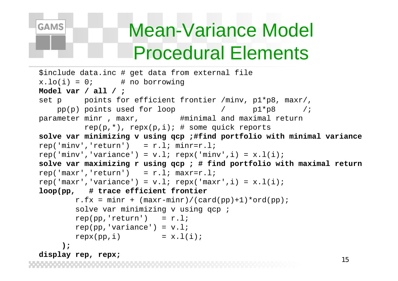# **GAMS**

### Mean-Variance Model Procedural Elements

```
15$include data.inc # get data from external file
x.lo(i) = 0; # no borrowing
Model var / all / ;
set p points for efficient frontier /minv, p1*p8, maxr/,
   pp(p) points used for loop / p1*p8 /;
parameter minr, maxr, \qquad #minimal and maximal return
         rep(p, *), rep(x, i); # some quick reportssolve var minimizing v using qcp
;#find portfolio with minimal variance
rep('minv', 'return') = r.l; minr=r.l;rep('minv','variance') = v.l; repx('minv',i) = x.l(i);
solve var maximizing r using qcp
; # find portfolio with maximal return
rep('maxr', 'return') = r.l; maxr=r.l;rep('maxr','variance') = v.l; repx('maxr',i) = x.l(i);
loop(pp, # trace efficient frontier
        r.fx = minr + (maxr-minr)/(card(pp)+1)*ord(pp);
        solve var minimizing v using qcp ;
       rep(pp,'return') = r.l;rep(pp, 'variance') = v.l;
       repx(pp,i) = x.l(i););
display rep, repx;
```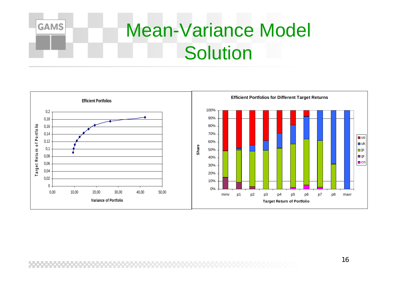

#### Mean-Variance Model **Solution**

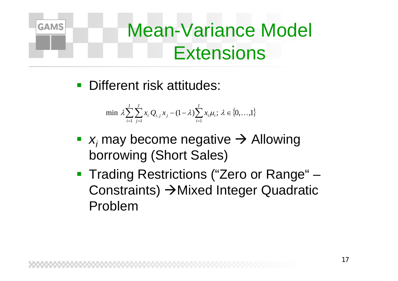

#### Mean-Variance Model **Extensions**

**-** Different risk attitudes:

min 
$$
\lambda \sum_{i=1}^{I} \sum_{j=1}^{J} x_i Q_{i,j} x_j - (1 - \lambda) \sum_{i=1}^{I} x_i \mu_i; \lambda \in \{0, ..., 1\}
$$

- **•**  $x_i$  may become negative  $\rightarrow$  Allowing borrowing (Short Sales)
- **Trading Restrictions ("Zero or Range"** Constraints) →Mixed Integer Quadratic Problem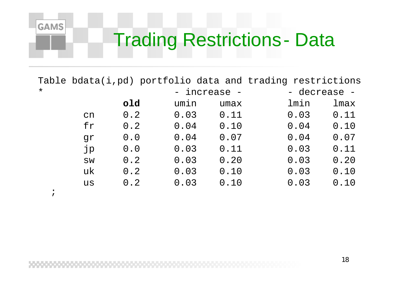#### Trading Restrictions - Data

Table bdata(i,pd) portfolio data and trading restrictions  $\star$  -  $$  increase - - decrease -

|    | old | umin | umax | lmin | lmax |
|----|-----|------|------|------|------|
| cn | 0.2 | 0.03 | 0.11 | 0.03 | 0.11 |
| fr | 0.2 | 0.04 | 0.10 | 0.04 | 0.10 |
| qr | 0.0 | 0.04 | 0.07 | 0.04 | 0.07 |
| jp | 0.0 | 0.03 | 0.11 | 0.03 | 0.11 |
| SW | 0.2 | 0.03 | 0.20 | 0.03 | 0.20 |
| uk | 0.2 | 0.03 | 0.10 | 0.03 | 0.10 |
| us | 0.2 | 0.03 | 0.10 | 0.03 | 0.10 |
|    |     |      |      |      |      |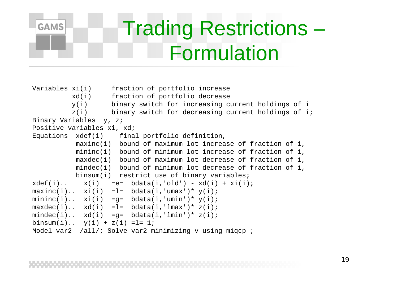### Trading Restrictions – Formulation

Variables xi(i) fraction of portfolio increase xd(i) fraction of portfolio decrease y(i) binary switch for increasing current holdings of i z(i) binary switch for decreasing current holdings of i; Binary Variables y, z; Positive variables xi, xd; Equations xdef(i) final portfolio definition,  $maxinc(i)$  bound of maximum lot increase of fraction of i, mininc(i) bound of minimum lot increase of fraction of i, maxdec(i) bound of maximum lot decrease of fraction of i, mindec(i) bound of minimum lot decrease of fraction of i, binsum(i) restrict use of binary variables;  $xdef(i)$ ..  $x(i) =e= bdata(i, 'old') - xd(i) + xi(i);$  $maxinc(i)$ .  $xi(i)$  = l=  $bdata(i, 'umax') * y(i);$ mininc(i)..  $xi(i) = q = bdata(i, 'umin') * y(i);$  $maxdec(i)$ .  $xd(i)$  = l=  $bdata(i,'lmax') * z(i);$ mindec(i)..  $xd(i) = q= bdata(i,'lmin') * z(i);$ binsum $(i)$ ..  $y(i) + z(i) = l = 1$ ; Model var2 /all/; Solve var2 minimizing v using migcp;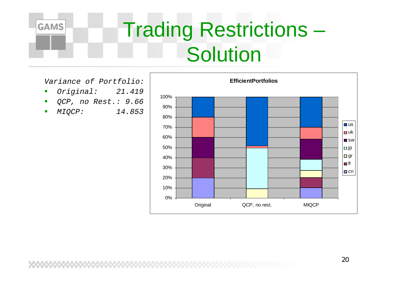

### Trading Restrictions – **Solution**

*Variance of Portfolio:*

- $\overline{\phantom{a}}$ *Original: 21.419*
- $\overline{\phantom{a}}$ *QCP, no Rest.: 9.66*
- $\blacksquare$ *MIQCP: 14.853*

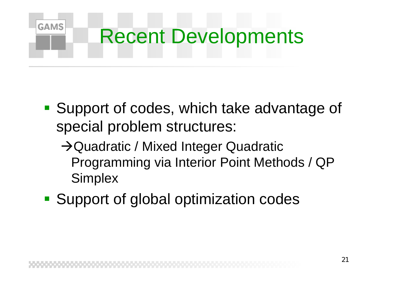#### **GAMS** Recent Developments

- **Support of codes, which take advantage of** special problem structures:
	- $\rightarrow$ Quadratic / Mixed Integer Quadratic Programming via Interior Point Methods / QP **Simplex**
- **Support of global optimization codes**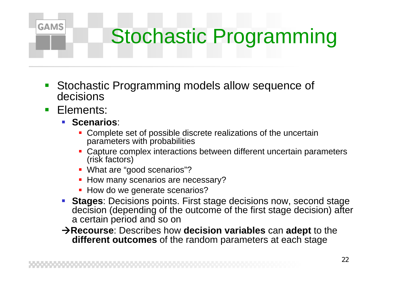## Stochastic Programming

- Stochastic Programming models allow sequence of decisions
- $\mathcal{L}_{\mathcal{A}}$ Elements:

- **Scenarios:** 
	- **Complete set of possible discrete realizations of the uncertain** parameters with probabilities
	- Capture complex interactions between different uncertain parameters (risk factors)
	- **What are "good scenarios"?**
	- **How many scenarios are necessary?**
	- How do we generate scenarios?
- **Stages**: Decisions points. First stage decisions now, second stage decision (depending of the outcome of the first stage decision) after a certain period and so on
- Æ**Recourse**: Describes how **decision variables** can **adept** to the **different outcomes** of the random parameters at each stage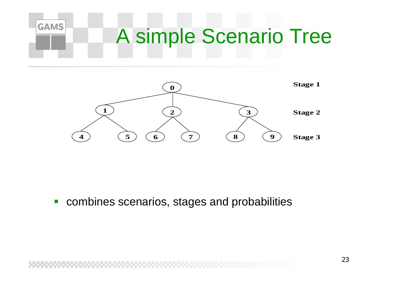#### **GAMS** A simple Scenario Tree



 $\mathcal{L}_{\mathcal{A}}$ combines scenarios, stages and probabilities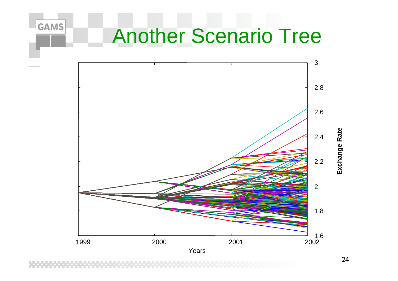### Another Scenario Tree

**GAMS** 



Exchange Rate **Exchange Rate**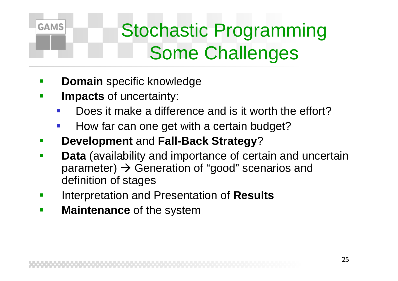### Stochastic Programming Some Challenges

- **-** Domain specific knowledge
- **Impacts** of uncertainty:

- Does it make a difference and is it worth the effort?
- How far can one get with a certain budget?
- **Development** and **Fall-Back Strategy**?
- and the state of the state of the state of the state of the state of the state of the state of the state of th **Data** (availability and importance of certain and uncertain parameter)  $\bm{\rightarrow}$  Generation of "good" scenarios and definition of stages
- Interpretation and Presentation of **Results**
- $\mathbf{r}$ **Maintenance** of the system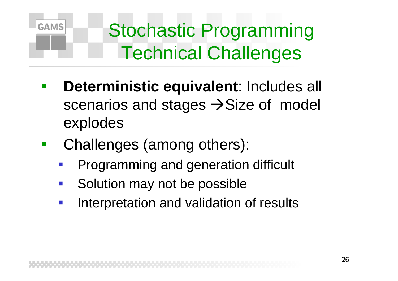

Stochastic Programming Technical Challenges

- **Deterministic equivalent**: Includes all scenarios and stages  $\rightarrow$  Size of model explodes
- Challenges (among others):
	- Programming and generation difficult
	- Solution may not be possible
	- Interpretation and validation of results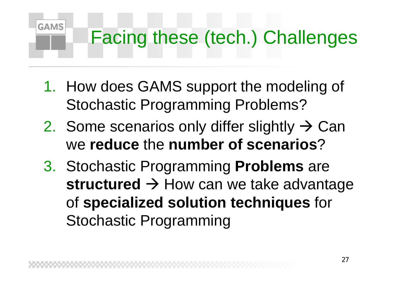## Facing these (tech.) Challenges

1. How does GAMS support the modeling of Stochastic Programming Problems?

- 2. Some scenarios only differ slightly  $\rightarrow$  Can we **reduce** the **number of scenarios** ?
- 3. Stochastic Programming **Problems** are structured  $\rightarrow$  How can we take advantage of **specialized solution techniques** for Stochastic Programming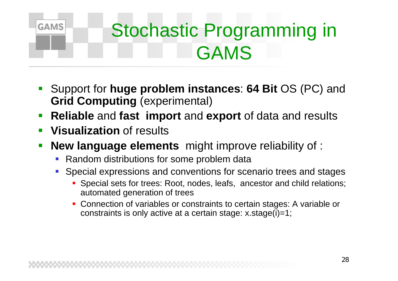### Stochastic Programming in GAMS

- Support for **huge problem instances**: **64 Bit** OS (PC) and **Grid Computing** (experimental)
- **Reliable** and **fast import** and **export** of data and results
- **Service Service Visualization** of results

- **New language elements** might improve reliability of :
	- $\mathcal{L}_{\mathcal{A}}$ Random distributions for some problem data
	- $\mathcal{L}_{\mathcal{A}}$  Special expressions and conventions for scenario trees and stages
		- Special sets for trees: Root, nodes, leafs, ancestor and child relations; automated generation of trees
		- Connection of variables or constraints to certain stages: A variable or constraints is only active at a certain stage: x.stage(i)=1;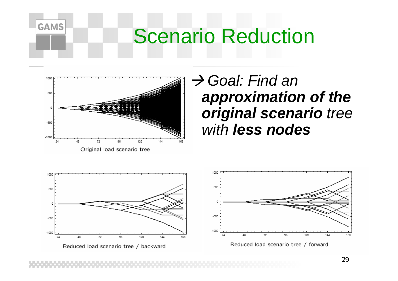### Scenario Reduction



**GAMS** 

#### Æ *Goal: Find an approximation of the original scenario tree with less nodes*

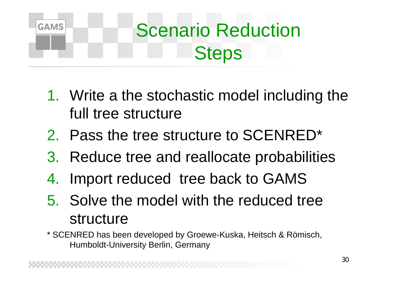

### Scenario Reduction **Steps**

- 1. Write a the stochastic model including the full tree structure
- 2. Pass the tree structure to SCENRED\*
- 3. Reduce tree and reallocate probabilities
- 4. Import reduced tree back to GAMS
- 5. Solve the model with the reduced tree structure
- \* SCENRED has been developed by Groewe-Kuska, Heitsch & Römisch, Humboldt-University Berlin, Germany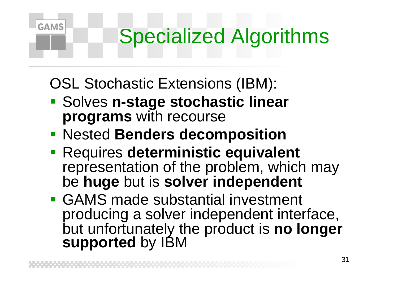## Specialized Algorithms

OSL Stochastic Extensions (IBM):

- **Example 2 Solves n-stage stochastic linear programs** with recourse
- Nested **Benders decomposition**
- **Requires deterministic equivalent** representation of the problem, which may be **huge** but is **solver independent**
- GAMS made substantial investment producing a solver independent interface, but unfortunately the product is **no longer supported** by IBM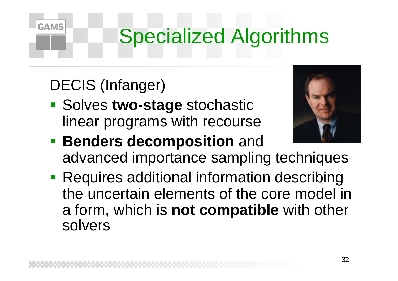## Specialized Algorithms

#### DECIS (Infanger)

**GAMS** 

**Solves two-stage stochastic** linear programs with recourse



- **Benders decomposition and** advanced importance sampling techniques
- **Requires additional information describing** the uncertain elements of the core model in a form, which is **not compatible** with other solvers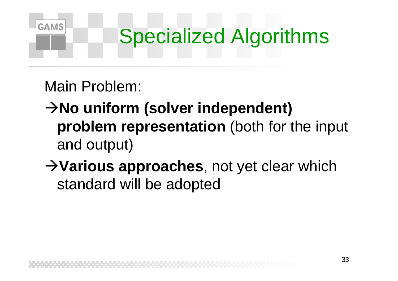

Main Problem:

- $→$ **No uniform (solver independent) problem representation** (both for the input and output)
- **→ Various approaches**, not yet clear which standard will be adopted